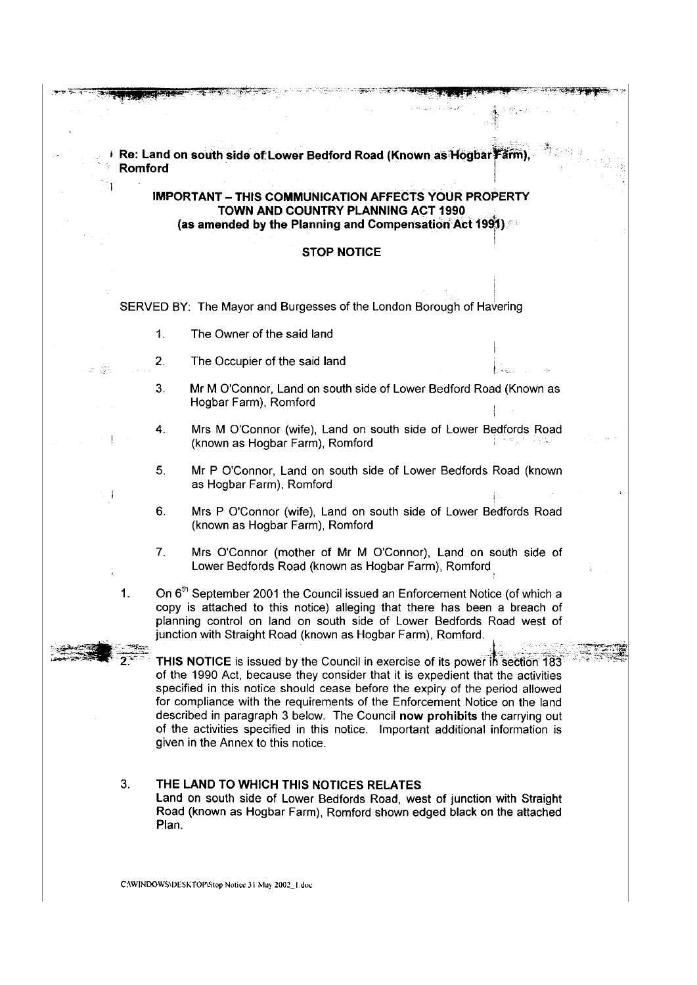**I** Re: Land on south side of Lower Bedford Road (Known as Hogbar Farm) · **Romford IMPORTANT - THIS COMMUNICATION AFFECTS YOUR PROPERTY TOWN AND COUNTRY PLANNING ACT 1990 (as amended by the Planning and Compensation Act 1991)** ! **STOP NOTICE**  SERVED BY: The Mayor and Burgesses of the London Borough of Havering 1. The Owner of the said land 2. The Occupier of the said land 3. Mr M O'Connor, Land on south side of Lower Bedford Road (Known as Hogbar Farm), Romford 4. Mrs M O'Connor (wife), Land on south side of Lower Bedfords Road (known as Hogbar Farm), Romford 5. Mr P O'Connor, Land on south side of Lower Bedfords Road (known as Hogbar Farm), Romford 6. Mrs P O'Connor (wife), Land on south side of Lower Bedfords Road (known as Hogbar Farm), Romford 7. Mrs O'Connor (mother of Mr M O'Connor), Land on south side of Lower Bedfords Road (known as Hogbar Farm), Romford 1. On  $6<sup>th</sup>$  September 2001 the Council issued an Enforcement Notice (of which a copy is attached to this notice) alleging that there has been a breach of planning control on land on south side of Lower Bedfords Road west of junction with Straight Road (known as Hogbar Farm), Romford. THIS NOTICE is issued by the Council in exercise of its power in section 183 of the 1990 Act, because they consider that it is expedient that the activities specified in this notice should cease before the expiry of the period allowed for compliance with the requirements of the Enforcement Notice on the land described in paragraph 3 below. The Council **now prohibits** the carrying out of the activities specified in this notice. Important additional information is given in the Annex to this notice. 3. **THE LAND TO WHICH THIS NOTICES RELATES**  Land on south side of Lower Bedfords Road, west of junction with Straight Road (known as Hogbar Farm), Romford shown edged black on the attached Plan.

C:\WINDOWS\DESKTOP\Stop Notice 31 May 2002\_1.doc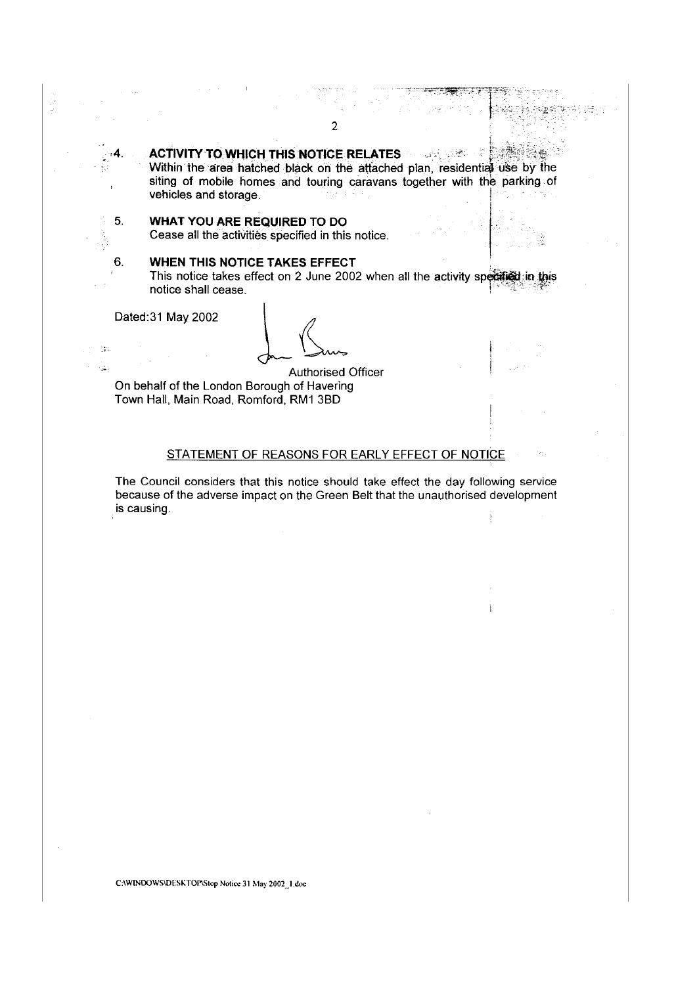**ACTIVITY TO WHICH THIS NOTICE RELATES**<br>Within the area hatched black on the attached plan, residential use by the

siting of mobile homes and touring caravans together with the parking of vehicles and storage. The storage of the state of the state of the state of the state of the state of the state of the state of the state of the state of the state of the state of the state of the state of the state of the

 $t_{\rm tot}$ 

# 5. **WHAT YOU ARE REQUIRED** TO DO

Cease all the activities specified in this notice.

# 6. **WHEN THIS NOTICE TAKES EFFECT** .

This notice takes effect on 2 June 2002 when all the activity specified in this notice shall cease.

Dated:31 May 2002

 $-\frac{16}{27}$  ).  $\bar{z}$ 4

t)<br>D

Authorised Officer On behalf of the London Borough of Havering Town Hall, Main Road, Romford, RM1 3BD

## STATEMENT OF REASONS FOR EARLY EFFECT OF NOTICE

The Council considers that this notice should take effect the day following service because of the adverse impact on the Green Belt that the unauthorised development is causing.

C:IWINDOWSIDESKTOPIStop Notice 31 May 2002\_1.doc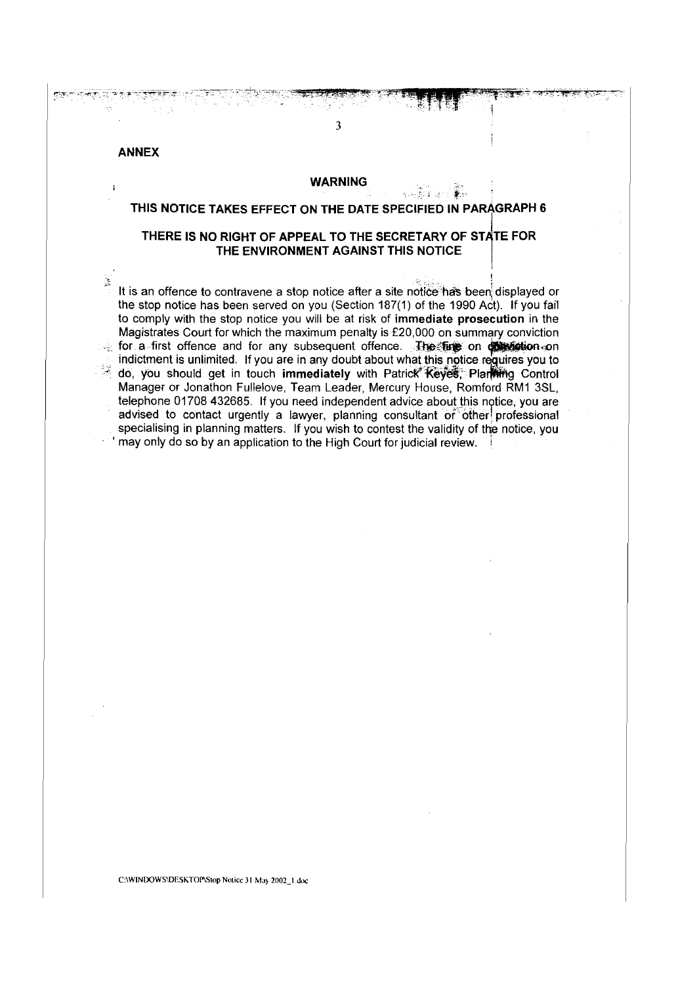### ANNEX

 $\mathbf{I}$ 

À

#### **WARNING**

. -.: ·-· ....-.·

I

3

#### THIS NOTICE TAKES EFFECT ON THE DATE SPECIFIED IN PARAGRAPH 6

### THERE IS NO RIGHT OF APPEAL TO THE SECRETARY OF STATE FOR THE ENVIRONMENT AGAINST THIS NOTICE

It is an offence to contravene a stop notice after a site notice has been displayed or the stop notice has been served on you (Section 187(1) of the 1990 Act). If you fail to comply with the stop notice you will be at risk of immediate prosecution in the Magistrates Court for which the maximum penalty is £20,000 on summary conviction for a first offence and for any subsequent offence. The face on **objection** on indictment is unlimited. If you are in any doubt about what this notice requires you to do, you should get in touch immediately with Patrick Keyes, Plarfilling Control Manager or Jonathon Fullelove, Team Leader, Mercury House, Romford RM1 3SL, telephone 01708 432685. If you need independent advice about this notice, you are advised to contact urgently a lawyer, planning consultant of other professional specialising in planning matters. If you wish to contest the validity of the notice, you may only do so by an application to the High Court for judicial review.